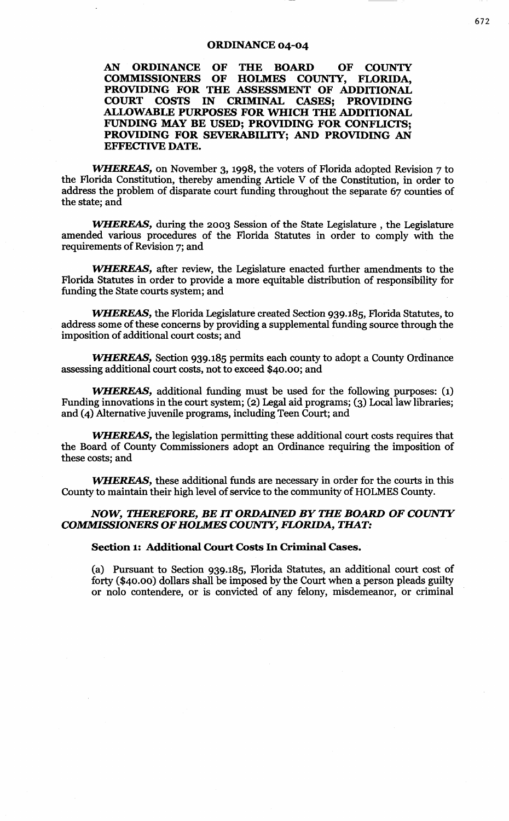## ORDINANCE 04-04

## AN ORDINANCE OF THE BOARD OF COUNIY COMMISSIONERS OF HOLMES COUNIY, FLORIDA, PROVIDING FOR THE ASSESSMENT OF ADDITIONAL COURT COSTS IN CRIMINAL CASES: PROVIDING COSTS IN CRIMINAL CASES; PROVIDING ALLOWABLE PURPOSES FOR WHICH THE ADDITIONAL FUNDING MAY BE USED; PROVIDING FOR CONFLICTS; PROVIDING FOR SEVERABILITY; AND PROVIDING AN EFFECTIVE DATE.

WHEREAS, on November 3, 1998, the voters of Florida adopted Revision 7 to the Florida Constitution, thereby amending Article V of the Constitution, in order to address the problem of disparate court funding throughout the separate 67 counties of the state; and

WHEREAS, during the 2003 Session of the State Legislature, the Legislature amended various procedures of the Florida Statutes in order to comply with the requirements of Revision 7; and

WHEREAS, after review, the Legislature enacted further amendments to the Florida Statutes in order to provide a more equitable distribution of responsibility for funding the State courts system; and

WHEREAS, the Florida Legislature created Section 939.185, Florida Statutes, to address some of these concerns by providing a supplemental funding source through the imposition of additional court costs; and

WHEREAS, Section 939.185 permits each county to adopt a County Ordinance assessing additional court costs, not to exceed \$40.00; and

WHEREAS, additional funding must be used for the following purposes: (1) Funding innovations in the court system; (2) Legal aid programs; (3) Local law libraries; and (4) Alternative juvenile programs, including Teen Court; and

WHEREAS, the legislation permitting these additional court costs requires that the Board of County Commissioners adopt an Ordinance requiring the imposition of these costs; and

WHEREAS, these additional funds are necessary in order for the courts in this County to maintain their high level of service to the community of HOLMES County.

## *NOW, THEREFORE, BE IT ORDAINED BY THE BOARD OF COUNTY COMMISSIONERS OF HOLMES COUNTY, FLORIDA, THAT:*

Section 1: Additional Court Costs In Criminal Cases.

(a) Pursuant to Section 939.185, Florida Statutes, an additional court cost of forty (\$40.00) dollars shall be imposed by the Court when a person pleads guilty or nolo contendere, or is convicted of any felony, misdemeanor, or criminal